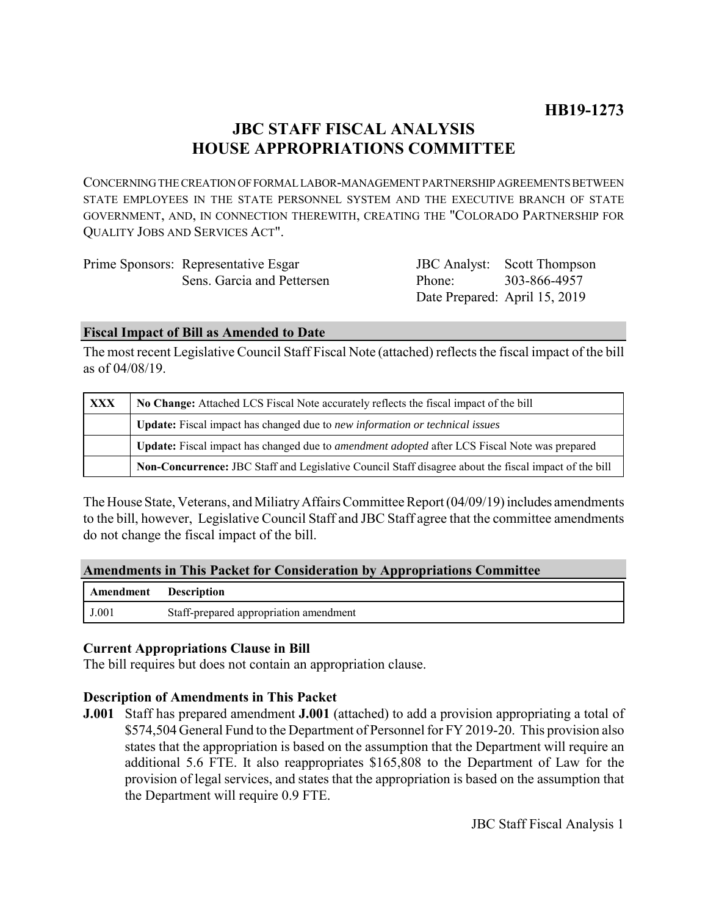# **JBC STAFF FISCAL ANALYSIS HOUSE APPROPRIATIONS COMMITTEE**

CONCERNING THE CREATION OF FORMAL LABOR-MANAGEMENT PARTNERSHIP AGREEMENTS BETWEEN STATE EMPLOYEES IN THE STATE PERSONNEL SYSTEM AND THE EXECUTIVE BRANCH OF STATE GOVERNMENT, AND, IN CONNECTION THEREWITH, CREATING THE "COLORADO PARTNERSHIP FOR QUALITY JOBS AND SERVICES ACT".

| Prime Sponsors: Representative Esgar |
|--------------------------------------|
| Sens. Garcia and Pettersen           |

JBC Analyst: Scott Thompson Phone: Date Prepared: April 15, 2019 303-866-4957

#### **Fiscal Impact of Bill as Amended to Date**

The most recent Legislative Council Staff Fiscal Note (attached) reflects the fiscal impact of the bill as of 04/08/19.

| XXX | No Change: Attached LCS Fiscal Note accurately reflects the fiscal impact of the bill                       |  |
|-----|-------------------------------------------------------------------------------------------------------------|--|
|     | Update: Fiscal impact has changed due to new information or technical issues                                |  |
|     | <b>Update:</b> Fiscal impact has changed due to <i>amendment adopted</i> after LCS Fiscal Note was prepared |  |
|     | Non-Concurrence: JBC Staff and Legislative Council Staff disagree about the fiscal impact of the bill       |  |

The House State, Veterans, and Miliatry Affairs Committee Report (04/09/19) includes amendments to the bill, however, Legislative Council Staff and JBC Staff agree that the committee amendments do not change the fiscal impact of the bill.

# **Amendments in This Packet for Consideration by Appropriations Committee**

| <b>Amendment</b> Description |                                        |
|------------------------------|----------------------------------------|
| J.001                        | Staff-prepared appropriation amendment |

# **Current Appropriations Clause in Bill**

The bill requires but does not contain an appropriation clause.

# **Description of Amendments in This Packet**

**J.001** Staff has prepared amendment **J.001** (attached) to add a provision appropriating a total of \$574,504 General Fund to the Department of Personnel for FY 2019-20. This provision also states that the appropriation is based on the assumption that the Department will require an additional 5.6 FTE. It also reappropriates \$165,808 to the Department of Law for the provision of legal services, and states that the appropriation is based on the assumption that the Department will require 0.9 FTE.